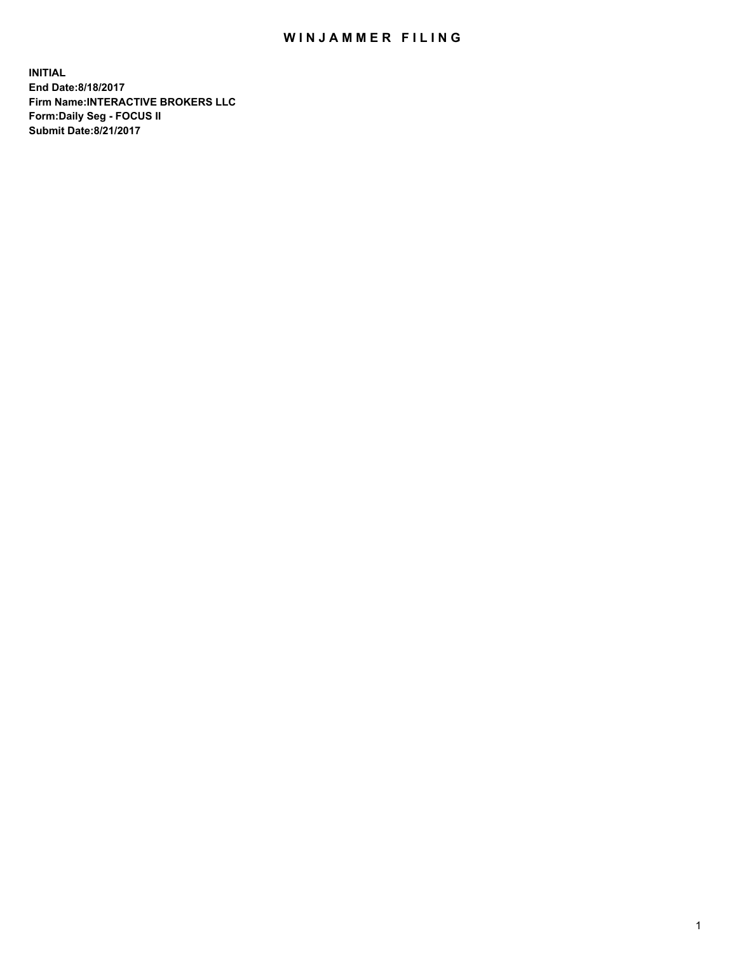## WIN JAMMER FILING

**INITIAL End Date:8/18/2017 Firm Name:INTERACTIVE BROKERS LLC Form:Daily Seg - FOCUS II Submit Date:8/21/2017**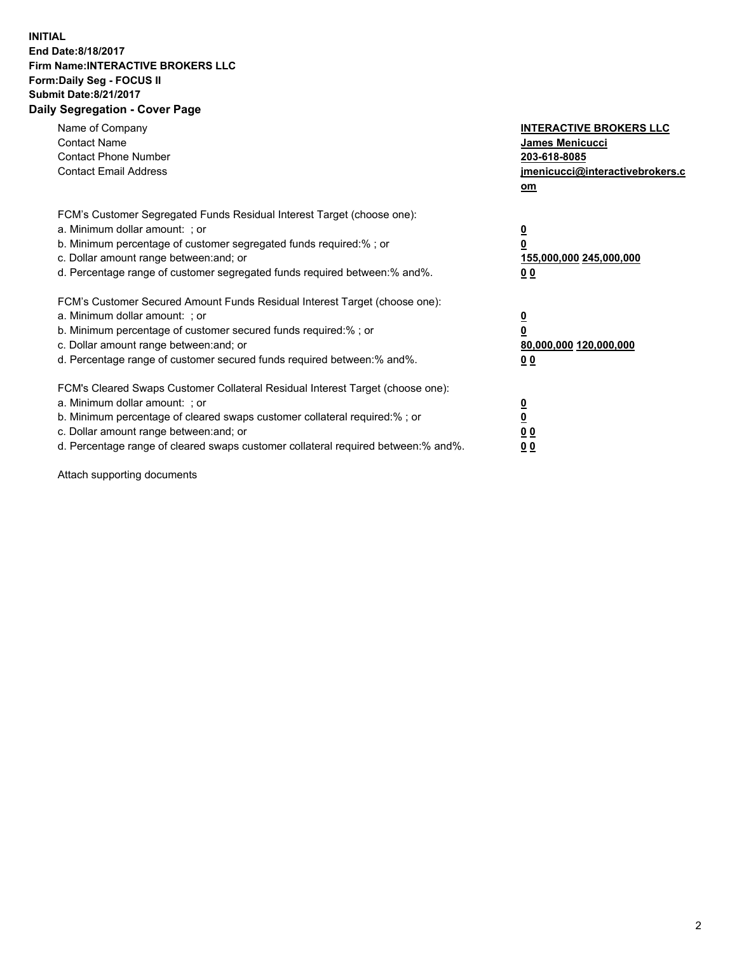## **INITIAL End Date:8/18/2017 Firm Name:INTERACTIVE BROKERS LLC Form:Daily Seg - FOCUS II Submit Date:8/21/2017 Daily Segregation - Cover Page**

| Name of Company<br><b>Contact Name</b><br><b>Contact Phone Number</b><br><b>Contact Email Address</b>                                                                                                                                                                                                                          | <b>INTERACTIVE BROKERS LLC</b><br>James Menicucci<br>203-618-8085<br>jmenicucci@interactivebrokers.c<br>om |
|--------------------------------------------------------------------------------------------------------------------------------------------------------------------------------------------------------------------------------------------------------------------------------------------------------------------------------|------------------------------------------------------------------------------------------------------------|
| FCM's Customer Segregated Funds Residual Interest Target (choose one):<br>a. Minimum dollar amount: ; or<br>b. Minimum percentage of customer segregated funds required:%; or<br>c. Dollar amount range between: and; or<br>d. Percentage range of customer segregated funds required between:% and%.                          | $\overline{\mathbf{0}}$<br>0<br>155,000,000 245,000,000<br>0 <sub>0</sub>                                  |
| FCM's Customer Secured Amount Funds Residual Interest Target (choose one):<br>a. Minimum dollar amount: ; or<br>b. Minimum percentage of customer secured funds required:%; or<br>c. Dollar amount range between: and; or<br>d. Percentage range of customer secured funds required between:% and%.                            | $\overline{\mathbf{0}}$<br>$\overline{\mathbf{0}}$<br>80,000,000 120,000,000<br>00                         |
| FCM's Cleared Swaps Customer Collateral Residual Interest Target (choose one):<br>a. Minimum dollar amount: ; or<br>b. Minimum percentage of cleared swaps customer collateral required:% ; or<br>c. Dollar amount range between: and; or<br>d. Percentage range of cleared swaps customer collateral required between:% and%. | $\overline{\mathbf{0}}$<br>$\overline{\mathbf{0}}$<br>0 <sub>0</sub><br><u>00</u>                          |

Attach supporting documents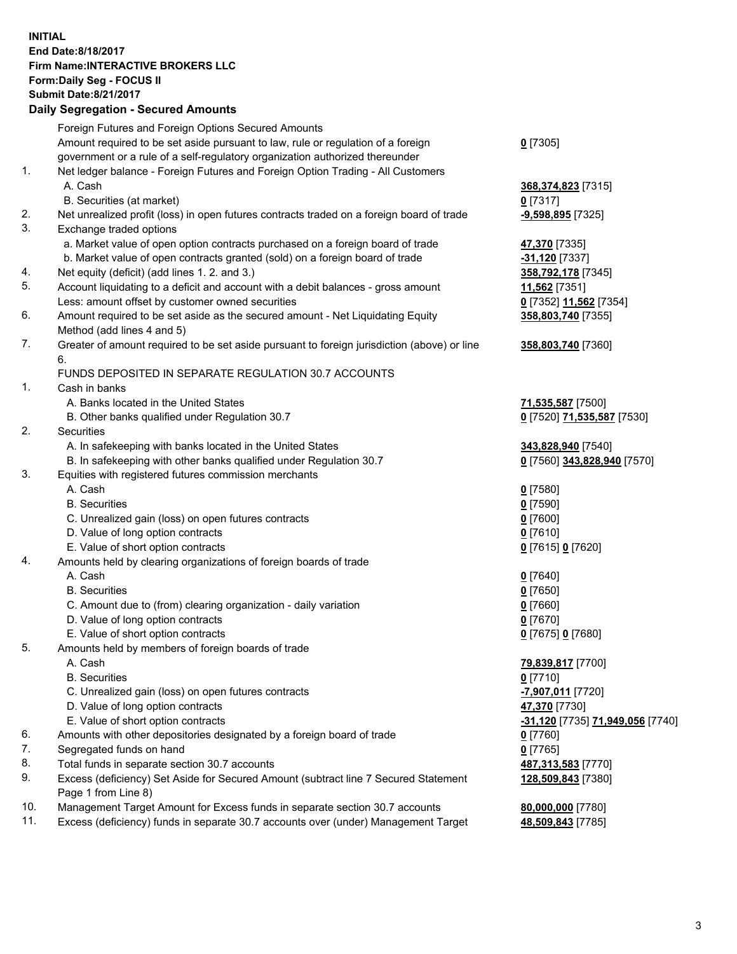## **INITIAL End Date:8/18/2017 Firm Name:INTERACTIVE BROKERS LLC Form:Daily Seg - FOCUS II Submit Date:8/21/2017**

|     | <b>Daily Segregation - Secured Amounts</b>                                                  |                                  |
|-----|---------------------------------------------------------------------------------------------|----------------------------------|
|     | Foreign Futures and Foreign Options Secured Amounts                                         |                                  |
|     | Amount required to be set aside pursuant to law, rule or regulation of a foreign            | $0$ [7305]                       |
|     | government or a rule of a self-regulatory organization authorized thereunder                |                                  |
| 1.  | Net ledger balance - Foreign Futures and Foreign Option Trading - All Customers             |                                  |
|     | A. Cash                                                                                     | 368,374,823 [7315]               |
|     | B. Securities (at market)                                                                   | $0$ [7317]                       |
| 2.  | Net unrealized profit (loss) in open futures contracts traded on a foreign board of trade   | -9,598,895 [7325]                |
| 3.  | Exchange traded options                                                                     |                                  |
|     | a. Market value of open option contracts purchased on a foreign board of trade              | 47,370 [7335]                    |
|     | b. Market value of open contracts granted (sold) on a foreign board of trade                | -31,120 [7337]                   |
| 4.  | Net equity (deficit) (add lines 1.2. and 3.)                                                | 358,792,178 [7345]               |
| 5.  | Account liquidating to a deficit and account with a debit balances - gross amount           | 11,562 [7351]                    |
|     | Less: amount offset by customer owned securities                                            | 0 [7352] 11,562 [7354]           |
| 6.  | Amount required to be set aside as the secured amount - Net Liquidating Equity              | 358,803,740 [7355]               |
|     | Method (add lines 4 and 5)                                                                  |                                  |
| 7.  | Greater of amount required to be set aside pursuant to foreign jurisdiction (above) or line | 358,803,740 [7360]               |
|     | 6.                                                                                          |                                  |
|     | FUNDS DEPOSITED IN SEPARATE REGULATION 30.7 ACCOUNTS                                        |                                  |
| 1.  | Cash in banks                                                                               |                                  |
|     | A. Banks located in the United States                                                       | 71,535,587 [7500]                |
|     | B. Other banks qualified under Regulation 30.7                                              | 0 [7520] 71,535,587 [7530]       |
| 2.  | Securities                                                                                  |                                  |
|     | A. In safekeeping with banks located in the United States                                   | 343,828,940 [7540]               |
|     | B. In safekeeping with other banks qualified under Regulation 30.7                          | 0 [7560] 343,828,940 [7570]      |
| 3.  | Equities with registered futures commission merchants                                       |                                  |
|     | A. Cash                                                                                     | $0$ [7580]                       |
|     | <b>B.</b> Securities                                                                        | <u>0</u> [7590]                  |
|     | C. Unrealized gain (loss) on open futures contracts                                         | 0 [7600]                         |
|     | D. Value of long option contracts                                                           | $0$ [7610]                       |
|     | E. Value of short option contracts                                                          | 0 [7615] 0 [7620]                |
| 4.  | Amounts held by clearing organizations of foreign boards of trade                           |                                  |
|     | A. Cash                                                                                     | $0$ [7640]                       |
|     | <b>B.</b> Securities                                                                        | $0$ [7650]                       |
|     | C. Amount due to (from) clearing organization - daily variation                             | 0 [7660]                         |
|     | D. Value of long option contracts                                                           | $0$ [7670]                       |
|     | E. Value of short option contracts                                                          | 0 [7675] 0 [7680]                |
| 5.  | Amounts held by members of foreign boards of trade                                          |                                  |
|     | A. Cash                                                                                     | 79,839,817 [7700]                |
|     | <b>B.</b> Securities                                                                        | 0 [7710]                         |
|     | C. Unrealized gain (loss) on open futures contracts                                         | <mark>-7,907,011</mark> [7720]   |
|     | D. Value of long option contracts                                                           | 47,370 [7730]                    |
|     | E. Value of short option contracts                                                          | -31,120 [7735] 71,949,056 [7740] |
| 6.  | Amounts with other depositories designated by a foreign board of trade                      | $0$ [7760]                       |
| 7.  | Segregated funds on hand                                                                    | $0$ [7765]                       |
| 8.  | Total funds in separate section 30.7 accounts                                               | 487, 313, 583 [7770]             |
| 9.  | Excess (deficiency) Set Aside for Secured Amount (subtract line 7 Secured Statement         | 128,509,843 [7380]               |
|     | Page 1 from Line 8)                                                                         |                                  |
| 10. | Management Target Amount for Excess funds in separate section 30.7 accounts                 | 80,000,000 [7780]                |
| 11. | Excess (deficiency) funds in separate 30.7 accounts over (under) Management Target          | 48,509,843 [7785]                |
|     |                                                                                             |                                  |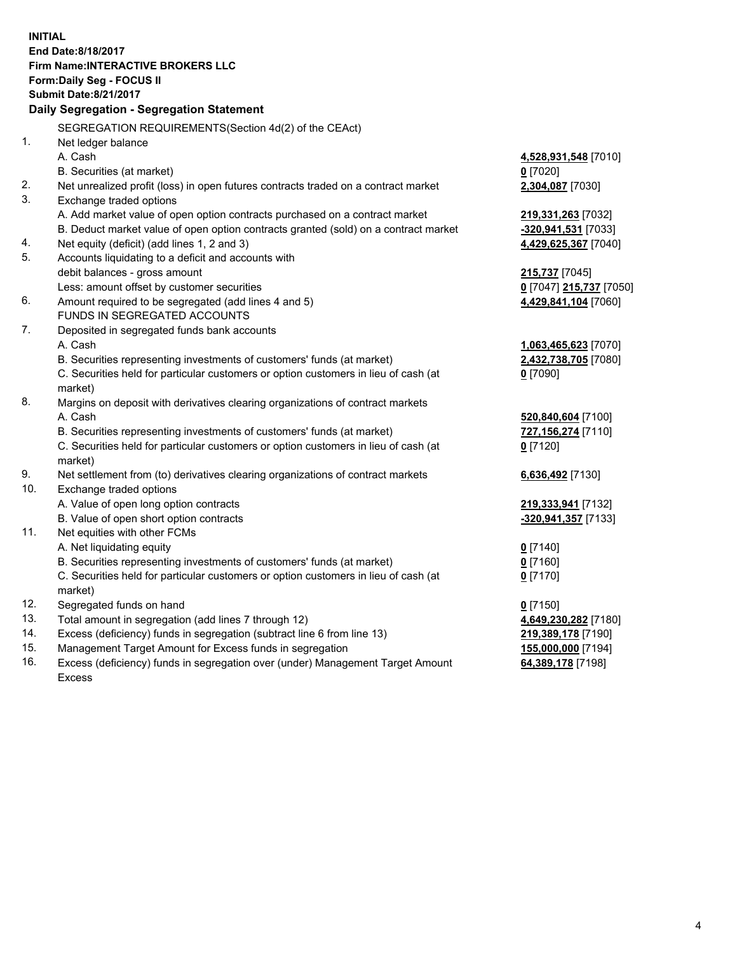**INITIAL End Date:8/18/2017 Firm Name:INTERACTIVE BROKERS LLC Form:Daily Seg - FOCUS II Submit Date:8/21/2017 Daily Segregation - Segregation Statement** SEGREGATION REQUIREMENTS(Section 4d(2) of the CEAct) 1. Net ledger balance A. Cash **4,528,931,548** [7010] B. Securities (at market) **0** [7020] 2. Net unrealized profit (loss) in open futures contracts traded on a contract market **2,304,087** [7030] 3. Exchange traded options A. Add market value of open option contracts purchased on a contract market **219,331,263** [7032] B. Deduct market value of open option contracts granted (sold) on a contract market **-320,941,531** [7033] 4. Net equity (deficit) (add lines 1, 2 and 3) **4,429,625,367** [7040] 5. Accounts liquidating to a deficit and accounts with debit balances - gross amount **215,737** [7045] Less: amount offset by customer securities **0** [7047] **215,737** [7050] 6. Amount required to be segregated (add lines 4 and 5) **4,429,841,104** [7060] FUNDS IN SEGREGATED ACCOUNTS 7. Deposited in segregated funds bank accounts A. Cash **1,063,465,623** [7070] B. Securities representing investments of customers' funds (at market) **2,432,738,705** [7080] C. Securities held for particular customers or option customers in lieu of cash (at market) **0** [7090] 8. Margins on deposit with derivatives clearing organizations of contract markets A. Cash **520,840,604** [7100] B. Securities representing investments of customers' funds (at market) **727,156,274** [7110] C. Securities held for particular customers or option customers in lieu of cash (at market) **0** [7120] 9. Net settlement from (to) derivatives clearing organizations of contract markets **6,636,492** [7130] 10. Exchange traded options A. Value of open long option contracts **219,333,941** [7132] B. Value of open short option contracts **-320,941,357** [7133] 11. Net equities with other FCMs A. Net liquidating equity **0** [7140] B. Securities representing investments of customers' funds (at market) **0** [7160] C. Securities held for particular customers or option customers in lieu of cash (at market) **0** [7170] 12. Segregated funds on hand **0** [7150] 13. Total amount in segregation (add lines 7 through 12) **4,649,230,282** [7180] 14. Excess (deficiency) funds in segregation (subtract line 6 from line 13) **219,389,178** [7190] 15. Management Target Amount for Excess funds in segregation **155,000,000** [7194] **64,389,178** [7198]

16. Excess (deficiency) funds in segregation over (under) Management Target Amount Excess